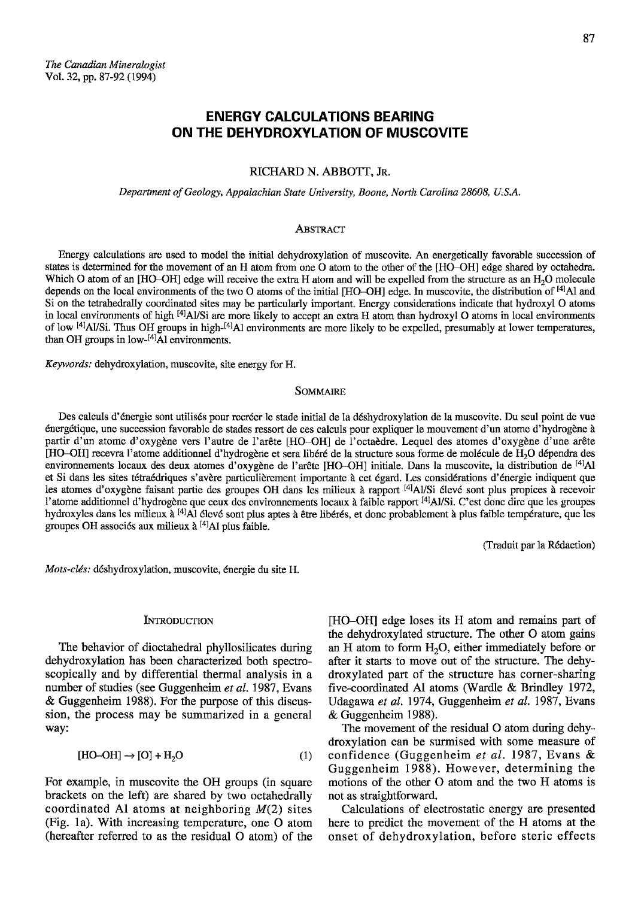# **ENERGY CALCULATIONS BEARING** ON THE DEHYDROXYLATION OF MUSCOVITE

## RICHARD N. ABBOTT, JR.

Department of Geology, Appalachian State University, Boone, North Carolina 28608, U.S.A.

## ABSTRACT

Energy calculations are used to model the initial dehydroxylation of muscovite. An energetically favorable succession of states is determined for the movement of an H atom from one O atom to the other of the [HO-OH] edge shared by octahedra. Which O atom of an [HO-OH] edge will receive the extra H atom and will be expelled from the structure as an H<sub>2</sub>O molecule depends on the local environments of the two O atoms of the initial [HO-OH] edge. In muscovite, the distribution of <sup>[4]</sup>Al and Si on the tetrahedrally coordinated sites may be particularly important. Energy considerations indicate that hydroxyl O atoms in local environments of high <sup>[4]</sup>Al/Si are more likely to accept an extra H atom than hydroxyl O atoms in local environments of low <sup>[4]</sup>Al/Si. Thus OH groups in high-<sup>[4]</sup>Al environments are more likely to be expelled, presumably at lower temperatures, than OH groups in low-<sup>[4]</sup>Al environments.

Keywords: dehydroxylation, muscovite, site energy for H.

# **SOMMAIRE**

Des calculs d'énergie sont utilisés pour recréer le stade initial de la déshydroxylation de la muscovite. Du seul point de vue énergétique, une succession favorable de stades ressort de ces calculs pour expliquer le mouvement d'un atome d'hydrogène à partir d'un atome d'oxygène vers l'autre de l'arête [HO-OH] de l'octaèdre. Lequel des atomes d'oxygène d'une arête [HO-OH] recevra l'atome additionnel d'hydrogène et sera libéré de la structure sous forme de molécule de H<sub>2</sub>O dépendra des environnements locaux des deux atomes d'oxygène de l'arête [HO-OH] initiale. Dans la muscovite, la distribution de [4]Al et Si dans les sites tétraédriques s'avère particulièrement importante à cet égard. Les considérations d'énergie indiquent que les atomes d'oxygène faisant partie des groupes OH dans les milieux à rapport <sup>[4]</sup>Al/Si élevé sont plus propices à recevoir l'atome additionnel d'hydrogène que ceux des environnements locaux à faible rapport [4]Al/Si. C'est donc dire que les groupes hydroxyles dans les milieux à <sup>[4]</sup>Al élevé sont plus aptes à être libérés, et donc probablement à plus faible température, que les groupes OH associés aux milieux à [4] Al plus faible.

(Traduit par la Rédaction)

Mots-clés: déshydroxylation, muscovite, énergie du site H.

## **INTRODUCTION**

The behavior of dioctahedral phyllosilicates during dehydroxylation has been characterized both spectroscopically and by differential thermal analysis in a number of studies (see Guggenheim et al. 1987, Evans & Guggenheim 1988). For the purpose of this discussion, the process may be summarized in a general way:

$$
[HO-OH] \rightarrow [O] + H_2O \tag{1}
$$

For example, in muscovite the OH groups (in square brackets on the left) are shared by two octahedrally coordinated Al atoms at neighboring  $M(2)$  sites (Fig. 1a). With increasing temperature, one O atom (hereafter referred to as the residual O atom) of the

[HO-OH] edge loses its H atom and remains part of the dehydroxylated structure. The other O atom gains an H atom to form  $H_2O$ , either immediately before or after it starts to move out of the structure. The dehydroxylated part of the structure has corner-sharing five-coordinated Al atoms (Wardle & Brindley 1972, Udagawa et al. 1974, Guggenheim et al. 1987, Evans & Guggenheim 1988).

The movement of the residual O atom during dehydroxylation can be surmised with some measure of confidence (Guggenheim et al. 1987, Evans & Guggenheim 1988). However, determining the motions of the other O atom and the two H atoms is not as straightforward.

Calculations of electrostatic energy are presented here to predict the movement of the H atoms at the onset of dehydroxylation, before steric effects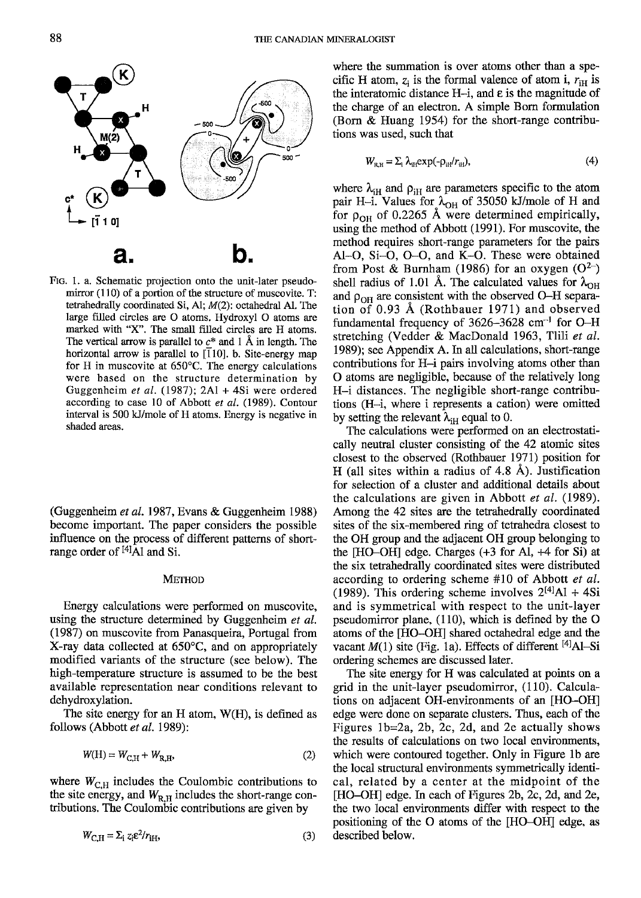

Flc. l. a. Schematic projection onto the unit-later pseudomirror  $(110)$  of a portion of the structure of muscovite. T: tetrahedrally coordinated Si, A1; M(2): octahedral Al. The large filled circles are O atoms. Hydroxyl O atoms are marked with 'X". The small filled circles are H atoms. The vertical arrow is parallel to  $c^*$  and 1 Å in length. The horizontal arrow is parallel to  $\overline{110}$ . b. Site-energy map for H in muscovite at 650'C. The energy calculations were based on the structure determination by Guggenheim et al. (1987);2Al + 4Si were ordered according to case 10 of Abbott et al. (1989). Contour interval is 500 kJ/mole of H atoms. Energy is negative in shaded areas.

(Guggenheim et al. 1987, Evans & Guggenheim 1988) become important. The paper considers the possible influence on the process of different patterns of shortrange order of <sup>[4]</sup>A1 and Si.

# METHOD

Energy calculations were performed on muscovite, using the structure determined by Guggenheim et al. (1987) on muscovite from Panasqueira, Portugal from X-ray data collected at 650'C, and on appropriately modified variants of the structure (see below). The high-temperature structure is assumed to be the best available representation near conditions relevant to dehydroxylation.

The site energy for an H atom, W(H), is defined as follows (Abbott et al. 1989):

$$
W(\mathbf{H}) = W_{\mathbf{C} \mathbf{H}} + W_{\mathbf{R} \mathbf{H}},\tag{2}
$$

where  $W_{\text{C,H}}$  includes the Coulombic contributions to the site energy, and  $W_{\rm R,H}$  includes the short-range contributions. The Coulombic contributions are given by

$$
W_{\text{C,H}} = \Sigma_{\text{i}} z_{\text{i}} \varepsilon^2 / r_{\text{IH}},\tag{3}
$$

where the summation is over atoms other than a specific H atom,  $z_i$  is the formal valence of atom i,  $r_{\text{H}}$  is the interatomic distance H-i, and  $\varepsilon$  is the magnitude of the charge of an electron. A simple Bom formulation (Born & Huang 1954) for the short-range contributions was used. such that

$$
W_{\rm R,H} = \sum_{i} \lambda_{\rm H} \exp(-\rho_{\rm H} / r_{\rm H}), \tag{4}
$$

where  $\lambda_{iH}$  and  $\rho_{iH}$  are parameters specific to the atom pair H-i. Values for  $\lambda_{\text{OH}}$  of 35050 kJ/mole of H and for  $\rho_{OH}$  of 0.2265 Å were determined empirically, using the method of Abbott (1991). For muscovite, the method requires short-range parameters for the pairs Al-O, Si-O, O-O, and K-O. These were obtained from Post & Burnham (1986) for an oxygen  $(O^{2-})$ shell radius of 1.01 Å. The calculated values for  $\lambda_{\text{OH}}$ and  $\rho_{OH}$  are consistent with the observed O-H separation of 0.93 A (Rothbauer 1971) and observed fundamental frequency of 3626-3628 cm<sup>-1</sup> for O-H stretching (Vedder & MacDonald 1963, Tlili et al. 1989); see Appendix A. In all calculations, short-range contributions for H-i pairs involving atoms other than O atoms are negligible, because of the relatively long H-i distances. The negligible short-range confibutions (H-i, where i represents a cation) were omitted by setting the relevant  $\lambda_{iH}$  equal to 0.

The calculations were performed on an electrostatically neutral cluster consisting of the 42 atomic sites closest to the observed (Rothbauer 1971) position for H (all sites within a radius of 4.8 A). Justification for selection of a cluster and additional details about the calculations are given in Abbott et al. (1989). Among the 42 sites are the tetrahedrally coordinated sites of the six-membered ring of tetrahedra closest to the OH group and the adjacent OH group belonging to the [HO-OH] edge. Charges (+3 for Al, +4 for Si) at the six tetrahedrally coordinated sites were distributed according to ordering scheme #10 of Abbott et al. (1989). This ordering scheme involves  $2^{[4]}$ Al + 4Si and is symmetrical with respect to the unit-layer pseudomirror plane, (110), which is defined by the O atoms of the [HO-OH] shared octahedral edge and the vacant  $M(1)$  site (Fig. 1a). Effects of different <sup>[4]</sup>Al-Si ordering schemes are discussed later.

The site energy for H was calculated at points on a grid in the unit-layer pseudomirror, (110). Calculations on adjacent OH-environments of an [HO-OH] edge were done on separate clusters. Thus, each of the Figures  $1b=2a$ , 2b, 2c, 2d, and 2e actually shows the results of calculations on two local environments. which were contoured together. Only in Figure lb are the local structural envionments symmetrically identical, related by a center at the midpoint of the [HO-OH] edge. In each of Figures 2b, 2c, 2d, and 2e, the two local environments differ with respect to the positioning of the O atoms of the [Ho-oH] edge, as described below.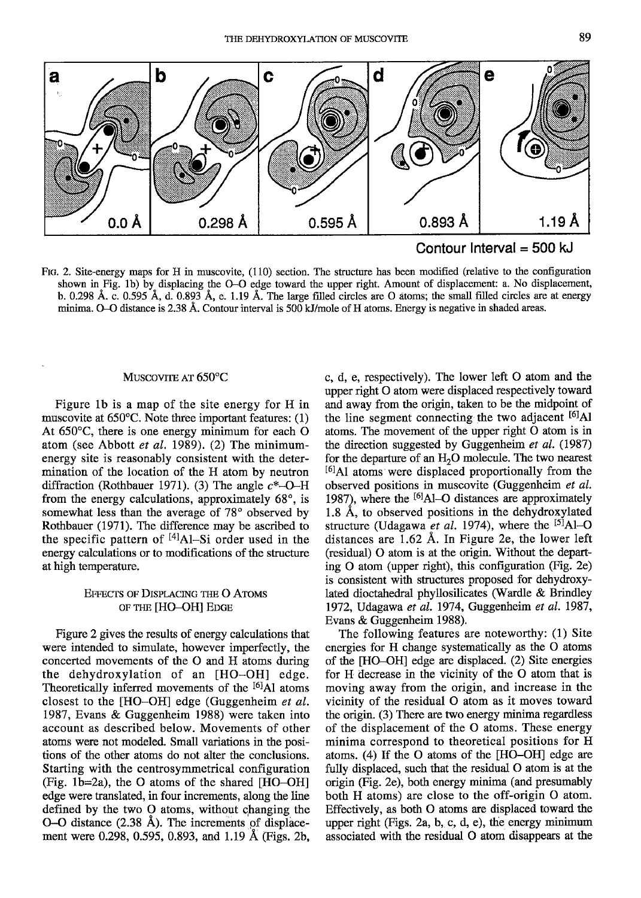



Ftc. 2. Site-energy maps for H in muscovite, (110) section. The structure has been modified (relative to the configuration shown in Fig. 1b) by displacing the O-O edge toward the upper right. Amount of displacement: a. No displacement, b. 0.298 A. c. 0.595 A, d. 0.893 A, e. l.l9 A. The large filled circles are O atoms; the small filled circles are at energy minima. O<sub> $\sim$ </sub>O distance is 2.38 Å. Contour interval is 500 kJ/mole of H atoms. Energy is negative in shaded areas.

## MUSCOVITE AT 650°C

Figure lb is a map of the site energy for H in muscovite at 650'C. Note three important features: (1) At 650'C, there is one energy minimum for each O atom (see Abbott et al. 1989). (2) The minimumenergy site is reasonably consistent with the determination of the location of the H atom by neutron diffraction (Rothbauer 1971). (3) The angle  $c^*$ -O-H from the energy calculations, approximately  $68^\circ$ , is somewhat less than the average of  $78^\circ$  observed by Rothbauer (1971). The difference may be ascribed to the specific pattern of <sup>[4]</sup>Al-Si order used in the energy calculations or to modifications of the structure at high temperature.

# **EFFECTS OF DISPLACING THE O ATOMS** OF THE [HO-OH] EDGE

Figure 2 gives the results of energy calculations that were intended to simulate, however imperfectly, the concerted movements of the O and H atoms during the dehydroxylation of an [HO-OH] edge. Theoretically inferred movements of the <sup>[6]</sup>A1 atoms closest to the [HO-OH] edge (Guggerheim et al. 1987, Evans & Guggenheim 1988) were taken into account as described below. Movements of other atoms were not modeled. Small variations in the positions of the other atoms do not alter the conclusions. Starting with the centrosymmetrical configuration (Fig. 1b=2a), the O atoms of the shared  $[HO-OH]$ edge were translated, in four increments, along the line defined by the two  $O$  atoms, without changing the  $O-O$  distance  $(2.38 \text{ Å})$ . The increments of displacement were 0.298, 0.595, 0.893, and 1.19 A (Figs. 2b, c, d, e, respectively). The lower left O atom and the upper right O atom were displaced respectively toward and away from the origin, taken to be the midpoint of the line segment connecting the two adjacent  $\left[6\right]$ Al atoms. The movement of the upper right O atom is in the direction suggested by Guggenheim et al. (1987) for the departure of an  $H_2O$  molecule. The two nearest l6lAl atoms were displaced proportionally from the observed positions in muscovite (Guggenheim et al. 1987), where the  $^{[6]}$ Al-O distances are approximately 1.8 A, to observed positions in the dehydroxylated structure (Udagawa et al. 1974), where the  $^{[5]}$ Al-O distances are 1.62 A. In Figure 2e, the lower left (residual) O atom is at the origin. Without the departing O atom (upper right), this configuration (Fig. 2e) is consistent with structures proposed for dehydroxylated dioctahedral phyllosilicates (Wardle & Brindley 1972, Udagawa et al. 1974, Guggenheim et al. 1987, Evans & Guggenheim 1988).

The following features are noteworthy: (l) Site energies for H change systematically as the O atoms of the [HO-OH] edge are displaced. (2) Site energies for H decrease in the vicinity of the O atom that is moving away from the origin, and increase in the vicinity of the residual O atom as it moves toward the origin. (3) There are fwo energy minima regardless of the displacement of the O atoms. These energy minima correspond to theoretical positions for H atoms. (4) If the O atoms of the  $[HO-OH]$  edge are fully displaced, such that the residual O atom is at the origin (Fig. 2e), both energy minima (and presumably both H atoms) are close to the off-origin O atom. Effectively, as both O atoms are displaced toward the upper right (Figs. 2a, b, c, d, e), the energy minimum associated with the residual O atom disappears at the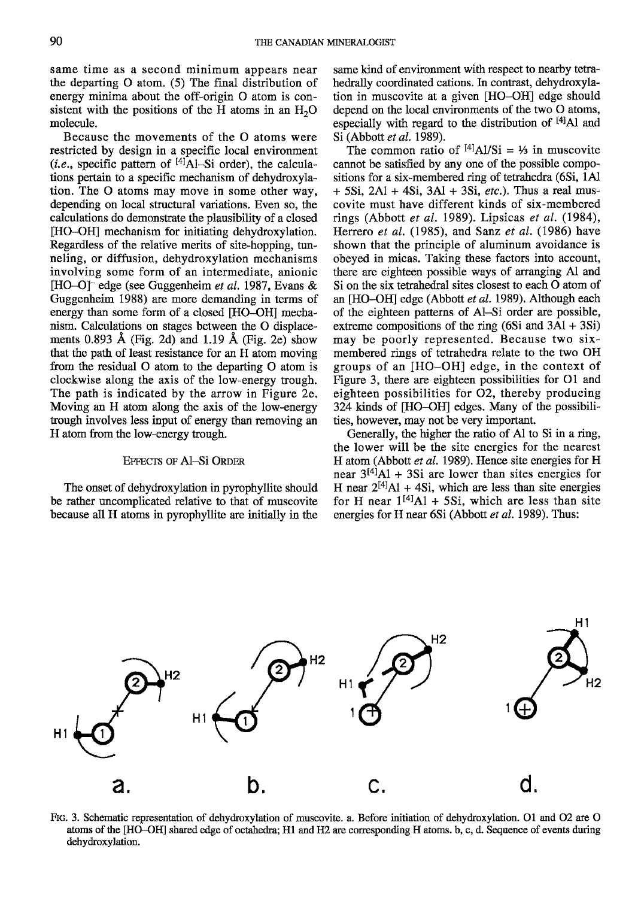same time as a second minimum appears near the departing  $O$  atom. (5) The final distribution of energy minima about the off-origin O atom is consistent with the positions of the H atoms in an  $H<sub>2</sub>O$ molecule.

Because the movements of the O atoms were restricted by design in a specific local environment (*i.e.*, specific pattern of  $[4]\hat{A}$ l-Si order), the calculations pertain to a specific mechanism of dehydroxylation. The O atoms may move in some other way, depending on local structural variations. Even so, the calculations do demonstrate the plausibility of a closed [HO-OH] mechanism for initiating dehydroxylation. Regardless of the relative merits of site-hopping, tunneling, or diffusion, dehydroxylation mechanisms involving some form of an intermediate, anionic [HO-O] edge (see Guggenheim et al. 1987, Evans & Guggenheim 1988) are more demanding in terms of energy than some form of a closed [HO-OH] mechanism. Calculations on stages between the O displacements 0.893 Å (Fig. 2d) and 1.19 Å (Fig. 2e) show that the path of least resistance for an H atom moving from the residual O atom to the departing O atom is clockwise along the axis of the low-energy trough. The path is indicated by the arrow in Figure 2e. Moving an H atom along the axis of the low-energy trough involves less input of energy than removing an H atom from the low-energy trough.

# EFFEcrs oF Al-Si ORDER

The onset of dehydroxylation in pyrophyllite should be rather uncomplicated relative to that of muscovite because all H atoms in pyrophyllite are initially in the same kind of environment with respect to nearby tetrahedrally coordinated cations. In contrast, dehydroxylation in muscovite at a given [HO-OH] edge should depend on the local environments of the two O atoms, especially with regard to the distribution of  $[4]$ Al and Si (Abbott et al. 1989).

The common ratio of  $^{[4]}$ Al/Si = 1/<sub>2</sub> in muscovite cannot be satisfied by any one of the possible compositions for a six-membered ring of tetrahedra (6Si, lAl  $+ 5Si$ ,  $2Al + 4Si$ ,  $3Al + 3Si$ , *etc.*). Thus a real muscovite must have different kinds of six-membered rings (Abbott et al. 1989). Lipsicas et al.  $(1984)$ , Herrero et al.  $(1985)$ , and Sanz et al.  $(1986)$  have shown that the principle of aluminum avoidance is obeyed in micas. Taking these factors into account, there are eighteen possible ways of arranging A1 and Si on the six tetrahedral sites closest to each O atom of an [HO-OH] edge (Abbott et al. 1989). Although each of the eighteen patterns of Al-Si order are possible, extreme compositions of the ring  $(6Si \text{ and } 3Al + 3Si)$ may be poorly represented. Because two sixmembered rings of tetrahedra relate to the two OH groups of an [HO-OH] edge, in the context of Figure 3, there are eighteen possibilities for 01 and eighteen possibilities for 02, thereby producing 324 kinds of [HO-OH] edges. Many of the possibilities, however, may not be very important.

Generally, the higher the ratio of Al to Si in a ring, the lower will be the site energies for the nearest H atom (Abbott et al. 1989). Hence site energies for H near  $3^{[4]}$ Al + 3Si are lower than sites energies for H near  $2^{[4]}$ Al + 4Si, which are less than site energies for H near  $1^{[4]}$ Al + 5Si, which are less than site energies for H near  $6Si$  (Abbott *et al.* 1989). Thus:



Flc. 3. Schematic representation of dehydroxylation of muscovite. a. Before initiation of dehydroxylation. 01 and 02 are O atoms of the [HO-OH] shared edge of octahedra; H1 and H2 are corresponding H atoms. b, c, d. Sequence of events during dehydroxylation.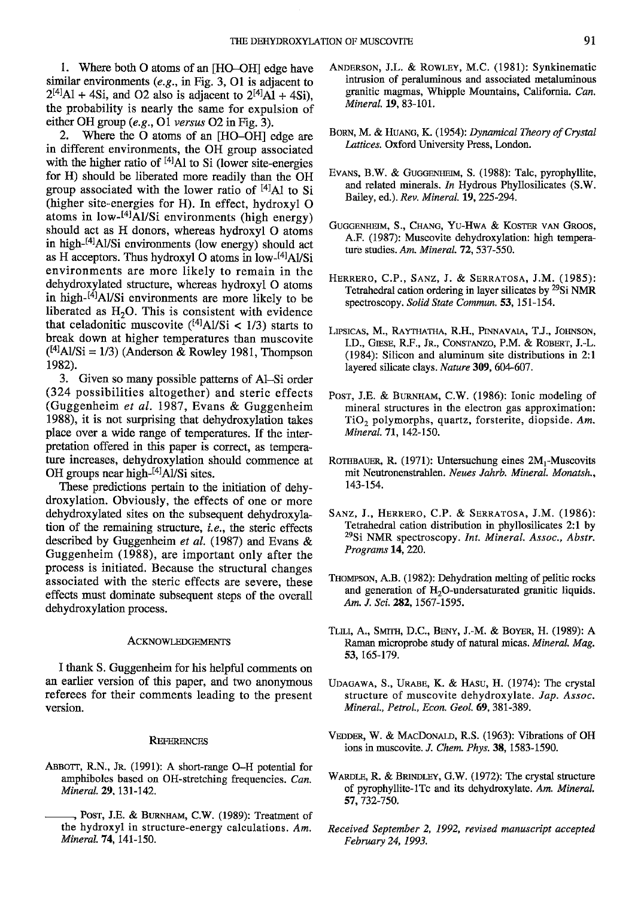I. Where both O atoms of an [HO-OHI edge have similar environments  $(e.g., in Fig. 3, O1)$  is adjacent to  $2^{[4]}$ Al + 4Si, and O2 also is adjacent to  $2^{[4]}$ Al + 4Si), the probability is nearly the same for expulsion of either OH group  $(e.g., 01 \text{ versus } 02 \text{ in Fig. 3}).$ 

2. Where the O atoms of an [HO-OH] edge are in different environments, the OH group associated with the higher ratio of  $^{[4]}$ Al to Si (lower site-energies for H) should be liberated more readily than the OH group associated with the lower ratio of  $[4]$ Al to Si (higher site-energies for H). In effect, hydroxyl O atoms in low- $^{[4]}\text{Al/Si}$  environments (high energy) should act as H donors, whereas hydroxyl O atoms in high- $\frac{4}{1}$ Al/Si environments (low energy) should act as H acceptors. Thus hydroxyl O atoms in low-<sup>[4]</sup>Al/Si environments are more likely to remain in the dehydroxylated structure, whereas hydroxyl O atoms in high- $[4]$ Al/Si environments are more likely to be liberated as  $H_2O$ . This is consistent with evidence that celadonitic muscovite  $({}^{[4]}\text{Al/Si}$  < 1/3) starts to break down at higher temperatures than muscovite  $({}^{[4]}\text{A}V\text{Si} = 1/3)$  (Anderson & Rowley 1981, Thompson 1982).

3. Given so many possible patlerns of Al-Si order (324 possibilities altogether) and steric effects (Guggenheim et al.1987, Evans & Guggenheim 1988), it is not surprising that dehydroxylation takes place over a wide range of temperatures. If the interpretation offered in this paper is correct, as temperafure increases, dehydroxylation should commence at OH groups near high- $[4]$ Al/Si sites.

These predictions pertain to the initiation of dehydroxylation. Obviously, the effects of one or more dehydroxylated sites on the subsequent dehydroxylation of the remaining structure, *i.e.*, the steric effects described by Guggenheim et al. (1987) and Evans  $\&$ Guggenheim (1988), are important only after the process is initiated. Because the structural changes associated with the steric effects are severe. these effects must dominate subsequent steps of the overall dehydroxylation process.

## **ACKNOWLEDGEMENTS**

I thank S. Guggenheim for his helpful comments on an earlier version of this paper, and two anonymous UDAGAWA, S., URABE, K. & HASU, H. (1974): The crystal referees for their comments leading to the present structure of muscovite dehydroxylate. Jap. Assoc. referees for their comments leading to the present version.

## **REFERENCES**

- ABBOTT, R.N., Jr. (1991): A short-range O-H potential for amphiboles based on OH-stretching frequencies. Can. Mineral. 29, 131-142.
	- , Post, J.E. & BURNHAM, C.W. (1989): Treatment of the hydroxyl in structure-energy calculations. Am. Mineral. 74, 141-150.
- ANDERSON, J.L. & ROWLEY, M.C. (1981): Synkinematic intrusion of peraluminous and associated metaluminous granitic magmas, Whipple Mountains, Califomia. Can. Mineral.19. 83-101.
- BORN, M. & HUANG, K. (1954): Dynamical Theory of Crystal Lattices. Oxford University Press, London.
- Evans, B.W. & GuggenHEIM, S. (1988): Talc, pyrophyllite, and related minerals. In Hydrous Phyllosilicates (S.W. Bailey, ed.). Rev. Mineral. 19, 225-294.
- GUGGENHEIM, S., CHANG, YU-HWA & KOSTER VAN GROOS, A.F. (1987): Muscovite dehydroxylation: high temperature studies. Am. Mineral.  $72$ ,  $537-550$ .
- HERRERO, C.P., SANZ, J. & SERRATOSA, J.M. (1985): Tetrahedral cation ordering in layer silicates by <sup>29</sup>Si NMR spectroscopy. Solid State Commun. 53, 151-154.
- LIPSICAS, M., RAYTHATHA, R.H., PINNAVAIA, T.J., JOHNSON, I.D., GIESE, R.F., Jr., CONSTANZO, P.M. & ROBERT, J.-L. (1984): Silicon and aluminum site distributions in 2:l layered silicate clays. Nature 309, 604-607.
- Post, J.E. & BURNHAM, C.W. (1986): Ionic modeling of mineral structures in the electron gas approximation:  $TiO<sub>2</sub>$  polymorphs, quartz, forsterite, diopside. Am. Mineral. 71, 142-150.
- ROTHBAUER, R. (1971): Untersuchung eines  $2M_1$ -Muscovits mit Neutronenstrahlen. Neues Jahrb. Mineral. Monatsh., 143-154.
- SANZ, J., HERRERO, C.P. & SERRATOSA, J.M. (1986): Tetrahedral cation distribution in phyllosilicates 2:1 by <sup>29</sup>Si NMR spectroscopy. Int. Mineral. Assoc., Abstr. Programs 14, 220.
- THoMpsoN, A.B. (1982): Dehydration melting of pelitic rocks and generation of  $H<sub>2</sub>O$ -undersaturated granitic liquids. Am. J. Sci. 282, 1567-1595.
- TLILI, A., SMITH, D.C., BENY, J.-M. & BOYER, H. (1989): A Raman microprobe study of natural micas. Mineral. Mag. 53. 165-179.
- Mineral., Petrol., Econ. Geol. 69, 381-389.
- VEDDER, W. & MACDONALD, R.S. (1963): Vibrations of OH ions in muscovite. J. Chem. Phys. 38, 1583-1590.
- WARDLE, R. & BRINDLEY, G.W. (1972): The crystal structure of pyrophyllite-lTc and its dehydroxylate. Am. Mineral, 57,732-750.
- Received September 2, 1992, revised manuscript accepted February 24, 1993.